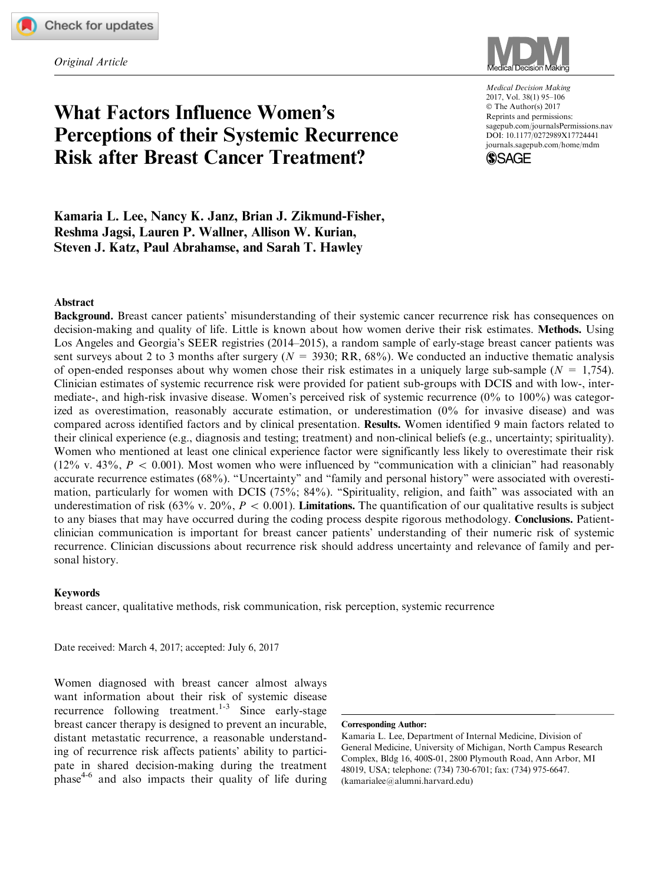Original Article



# What Factors Influence Women's Perceptions of their Systemic Recurrence Risk after Breast Cancer Treatment?

Medical Decision Making 2017, Vol. 38(1) 95–106 © The Author(s) 2017 Reprints and permissions: [sagepub.com/journalsPermissions.nav](us.sagepub.com/en-us/journals-permissions) [DOI: 10.1177/0272989X17724441](https://doi.dox.org/10.1177/0272989X17724441) <journals.sagepub.com/home/mdm>



Kamaria L. Lee, Nancy K. Janz, Brian J. Zikmund-Fisher, Reshma Jagsi, Lauren P. Wallner, Allison W. Kurian, Steven J. Katz, Paul Abrahamse, and Sarah T. Hawley

#### Abstract

Background. Breast cancer patients' misunderstanding of their systemic cancer recurrence risk has consequences on decision-making and quality of life. Little is known about how women derive their risk estimates. Methods. Using Los Angeles and Georgia's SEER registries (2014–2015), a random sample of early-stage breast cancer patients was sent surveys about 2 to 3 months after surgery ( $N = 3930$ ; RR,  $68\%$ ). We conducted an inductive thematic analysis of open-ended responses about why women chose their risk estimates in a uniquely large sub-sample ( $N = 1,754$ ). Clinician estimates of systemic recurrence risk were provided for patient sub-groups with DCIS and with low-, intermediate-, and high-risk invasive disease. Women's perceived risk of systemic recurrence (0% to 100%) was categorized as overestimation, reasonably accurate estimation, or underestimation (0% for invasive disease) and was compared across identified factors and by clinical presentation. Results. Women identified 9 main factors related to their clinical experience (e.g., diagnosis and testing; treatment) and non-clinical beliefs (e.g., uncertainty; spirituality). Women who mentioned at least one clinical experience factor were significantly less likely to overestimate their risk (12% v. 43%,  $P < 0.001$ ). Most women who were influenced by "communication with a clinician" had reasonably accurate recurrence estimates (68%). ''Uncertainty'' and ''family and personal history'' were associated with overestimation, particularly for women with DCIS (75%; 84%). "Spirituality, religion, and faith" was associated with an underestimation of risk (63% v. 20%,  $P < 0.001$ ). Limitations. The quantification of our qualitative results is subject to any biases that may have occurred during the coding process despite rigorous methodology. Conclusions. Patientclinician communication is important for breast cancer patients' understanding of their numeric risk of systemic recurrence. Clinician discussions about recurrence risk should address uncertainty and relevance of family and personal history.

#### Keywords

breast cancer, qualitative methods, risk communication, risk perception, systemic recurrence

Date received: March 4, 2017; accepted: July 6, 2017

Women diagnosed with breast cancer almost always want information about their risk of systemic disease recurrence following treatment.<sup>1-3</sup> Since early-stage breast cancer therapy is designed to prevent an incurable, distant metastatic recurrence, a reasonable understanding of recurrence risk affects patients' ability to participate in shared decision-making during the treatment phase4-6 and also impacts their quality of life during

#### Corresponding Author:

Kamaria L. Lee, Department of Internal Medicine, Division of General Medicine, University of Michigan, North Campus Research Complex, Bldg 16, 400S-01, 2800 Plymouth Road, Ann Arbor, MI 48019, USA; telephone: (734) 730-6701; fax: (734) 975-6647. (kamarialee@alumni.harvard.edu)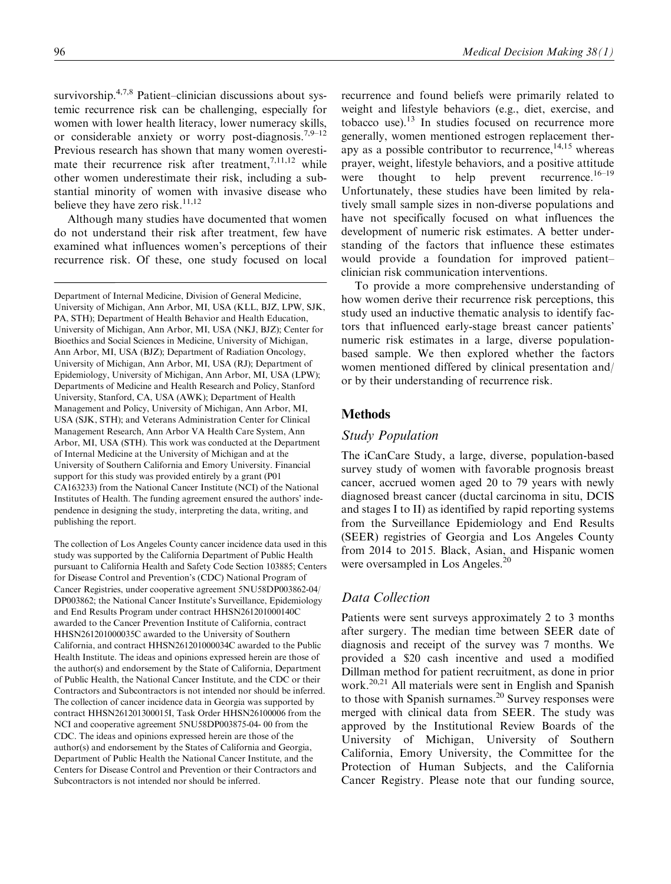survivorship.<sup>4,7,8</sup> Patient–clinician discussions about systemic recurrence risk can be challenging, especially for women with lower health literacy, lower numeracy skills, or considerable anxiety or worry post-diagnosis.<sup>7,9–12</sup> Previous research has shown that many women overestimate their recurrence risk after treatment,  $7,11,12$  while other women underestimate their risk, including a substantial minority of women with invasive disease who believe they have zero risk.<sup>11,12</sup>

Although many studies have documented that women do not understand their risk after treatment, few have examined what influences women's perceptions of their recurrence risk. Of these, one study focused on local

Department of Internal Medicine, Division of General Medicine, University of Michigan, Ann Arbor, MI, USA (KLL, BJZ, LPW, SJK, PA, STH); Department of Health Behavior and Health Education, University of Michigan, Ann Arbor, MI, USA (NKJ, BJZ); Center for Bioethics and Social Sciences in Medicine, University of Michigan, Ann Arbor, MI, USA (BJZ); Department of Radiation Oncology, University of Michigan, Ann Arbor, MI, USA (RJ); Department of Epidemiology, University of Michigan, Ann Arbor, MI, USA (LPW); Departments of Medicine and Health Research and Policy, Stanford University, Stanford, CA, USA (AWK); Department of Health Management and Policy, University of Michigan, Ann Arbor, MI, USA (SJK, STH); and Veterans Administration Center for Clinical Management Research, Ann Arbor VA Health Care System, Ann Arbor, MI, USA (STH). This work was conducted at the Department of Internal Medicine at the University of Michigan and at the University of Southern California and Emory University. Financial support for this study was provided entirely by a grant (P01 CA163233) from the National Cancer Institute (NCI) of the National Institutes of Health. The funding agreement ensured the authors' independence in designing the study, interpreting the data, writing, and publishing the report.

The collection of Los Angeles County cancer incidence data used in this study was supported by the California Department of Public Health pursuant to California Health and Safety Code Section 103885; Centers for Disease Control and Prevention's (CDC) National Program of Cancer Registries, under cooperative agreement 5NU58DP003862-04/ DP003862; the National Cancer Institute's Surveillance, Epidemiology and End Results Program under contract HHSN261201000140C awarded to the Cancer Prevention Institute of California, contract HHSN261201000035C awarded to the University of Southern California, and contract HHSN261201000034C awarded to the Public Health Institute. The ideas and opinions expressed herein are those of the author(s) and endorsement by the State of California, Department of Public Health, the National Cancer Institute, and the CDC or their Contractors and Subcontractors is not intended nor should be inferred. The collection of cancer incidence data in Georgia was supported by contract HHSN261201300015I, Task Order HHSN26100006 from the NCI and cooperative agreement 5NU58DP003875-04- 00 from the CDC. The ideas and opinions expressed herein are those of the author(s) and endorsement by the States of California and Georgia, Department of Public Health the National Cancer Institute, and the Centers for Disease Control and Prevention or their Contractors and Subcontractors is not intended nor should be inferred.

recurrence and found beliefs were primarily related to weight and lifestyle behaviors (e.g., diet, exercise, and tobacco use). $^{13}$  In studies focused on recurrence more generally, women mentioned estrogen replacement therapy as a possible contributor to recurrence,  $14,15$  whereas prayer, weight, lifestyle behaviors, and a positive attitude were thought to help prevent recurrence.<sup>16–19</sup> Unfortunately, these studies have been limited by relatively small sample sizes in non-diverse populations and have not specifically focused on what influences the development of numeric risk estimates. A better understanding of the factors that influence these estimates would provide a foundation for improved patient– clinician risk communication interventions.

To provide a more comprehensive understanding of how women derive their recurrence risk perceptions, this study used an inductive thematic analysis to identify factors that influenced early-stage breast cancer patients' numeric risk estimates in a large, diverse populationbased sample. We then explored whether the factors women mentioned differed by clinical presentation and/ or by their understanding of recurrence risk.

# Methods

# Study Population

The iCanCare Study, a large, diverse, population-based survey study of women with favorable prognosis breast cancer, accrued women aged 20 to 79 years with newly diagnosed breast cancer (ductal carcinoma in situ, DCIS and stages I to II) as identified by rapid reporting systems from the Surveillance Epidemiology and End Results (SEER) registries of Georgia and Los Angeles County from 2014 to 2015. Black, Asian, and Hispanic women were oversampled in Los Angeles.<sup>20</sup>

# Data Collection

Patients were sent surveys approximately 2 to 3 months after surgery. The median time between SEER date of diagnosis and receipt of the survey was 7 months. We provided a \$20 cash incentive and used a modified Dillman method for patient recruitment, as done in prior work.<sup>20,21</sup> All materials were sent in English and Spanish to those with Spanish surnames. $^{20}$  Survey responses were merged with clinical data from SEER. The study was approved by the Institutional Review Boards of the University of Michigan, University of Southern California, Emory University, the Committee for the Protection of Human Subjects, and the California Cancer Registry. Please note that our funding source,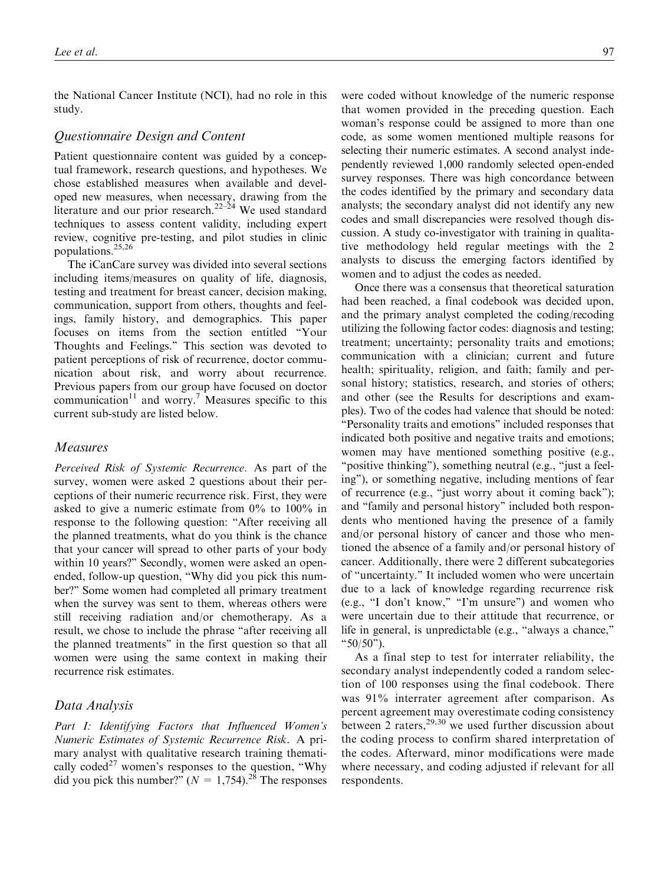the National Cancer Institute (NCI), had no role in this study.

## Questionnaire Design and Content

Patient questionnaire content was guided by a conceptual framework, research questions, and hypotheses. We chose established measures when available and developed new measures, when necessary, drawing from the literature and our prior research.<sup>22–24</sup> We used standard techniques to assess content validity, including expert review, cognitive pre-testing, and pilot studies in clinic populations.25,26

The iCanCare survey was divided into several sections including items/measures on quality of life, diagnosis, testing and treatment for breast cancer, decision making, communication, support from others, thoughts and feelings, family history, and demographics. This paper focuses on items from the section entitled ''Your Thoughts and Feelings.'' This section was devoted to patient perceptions of risk of recurrence, doctor communication about risk, and worry about recurrence. Previous papers from our group have focused on doctor communication<sup>11</sup> and worry.<sup>7</sup> Measures specific to this current sub-study are listed below.

#### Measures

Perceived Risk of Systemic Recurrence. As part of the survey, women were asked 2 questions about their perceptions of their numeric recurrence risk. First, they were asked to give a numeric estimate from 0% to 100% in response to the following question: ''After receiving all the planned treatments, what do you think is the chance that your cancer will spread to other parts of your body within 10 years?" Secondly, women were asked an openended, follow-up question, ''Why did you pick this number?'' Some women had completed all primary treatment when the survey was sent to them, whereas others were still receiving radiation and/or chemotherapy. As a result, we chose to include the phrase ''after receiving all the planned treatments'' in the first question so that all women were using the same context in making their recurrence risk estimates.

## Data Analysis

Part I: Identifying Factors that Influenced Women's Numeric Estimates of Systemic Recurrence Risk. A primary analyst with qualitative research training thematically coded<sup>27</sup> women's responses to the question, "Why did you pick this number?"  $(N = 1,754)$ <sup>28</sup>. The responses

were coded without knowledge of the numeric response that women provided in the preceding question. Each woman's response could be assigned to more than one code, as some women mentioned multiple reasons for selecting their numeric estimates. A second analyst independently reviewed 1,000 randomly selected open-ended survey responses. There was high concordance between the codes identified by the primary and secondary data analysts; the secondary analyst did not identify any new codes and small discrepancies were resolved though discussion. A study co-investigator with training in qualitative methodology held regular meetings with the 2 analysts to discuss the emerging factors identified by women and to adjust the codes as needed.

Once there was a consensus that theoretical saturation had been reached, a final codebook was decided upon, and the primary analyst completed the coding/recoding utilizing the following factor codes: diagnosis and testing; treatment; uncertainty; personality traits and emotions; communication with a clinician; current and future health; spirituality, religion, and faith; family and personal history; statistics, research, and stories of others; and other (see the Results for descriptions and examples). Two of the codes had valence that should be noted: ''Personality traits and emotions'' included responses that indicated both positive and negative traits and emotions; women may have mentioned something positive (e.g., ''positive thinking''), something neutral (e.g., ''just a feeling''), or something negative, including mentions of fear of recurrence (e.g., ''just worry about it coming back''); and ''family and personal history'' included both respondents who mentioned having the presence of a family and/or personal history of cancer and those who mentioned the absence of a family and/or personal history of cancer. Additionally, there were 2 different subcategories of ''uncertainty.'' It included women who were uncertain due to a lack of knowledge regarding recurrence risk (e.g., "I don't know," "I'm unsure") and women who were uncertain due to their attitude that recurrence, or life in general, is unpredictable (e.g., "always a chance," ''50/50'').

As a final step to test for interrater reliability, the secondary analyst independently coded a random selection of 100 responses using the final codebook. There was 91% interrater agreement after comparison. As percent agreement may overestimate coding consistency between 2 raters,  $2^{9,30}$  we used further discussion about the coding process to confirm shared interpretation of the codes. Afterward, minor modifications were made where necessary, and coding adjusted if relevant for all respondents.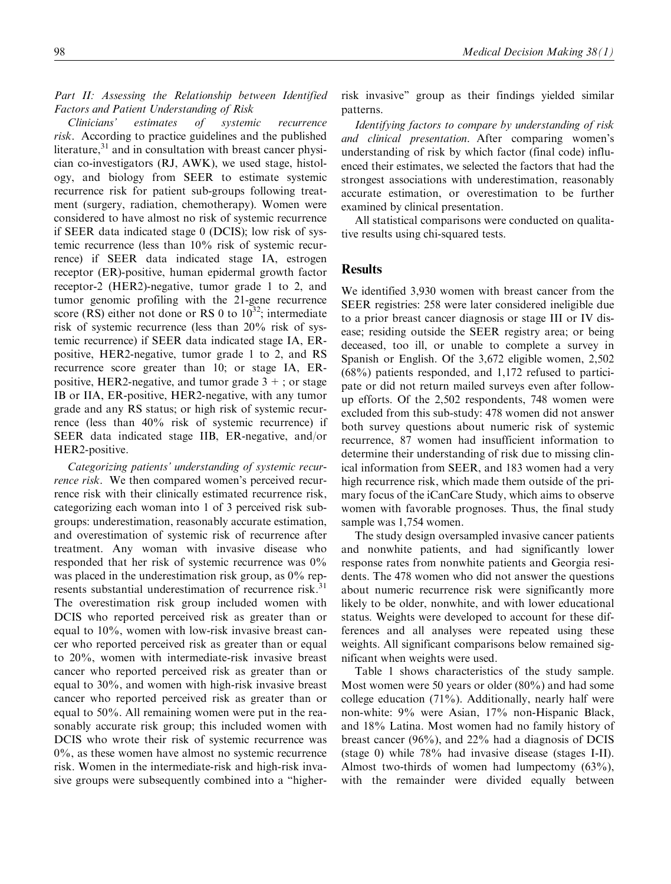### Part II: Assessing the Relationship between Identified Factors and Patient Understanding of Risk

Clinicians' estimates of systemic recurrence risk. According to practice guidelines and the published literature,<sup>31</sup> and in consultation with breast cancer physician co-investigators (RJ, AWK), we used stage, histology, and biology from SEER to estimate systemic recurrence risk for patient sub-groups following treatment (surgery, radiation, chemotherapy). Women were considered to have almost no risk of systemic recurrence if SEER data indicated stage 0 (DCIS); low risk of systemic recurrence (less than 10% risk of systemic recurrence) if SEER data indicated stage IA, estrogen receptor (ER)-positive, human epidermal growth factor receptor-2 (HER2)-negative, tumor grade 1 to 2, and tumor genomic profiling with the 21-gene recurrence score (RS) either not done or RS 0 to  $10^{32}$ ; intermediate risk of systemic recurrence (less than 20% risk of systemic recurrence) if SEER data indicated stage IA, ERpositive, HER2-negative, tumor grade 1 to 2, and RS recurrence score greater than 10; or stage IA, ERpositive, HER2-negative, and tumor grade  $3 +$ ; or stage IB or IIA, ER-positive, HER2-negative, with any tumor grade and any RS status; or high risk of systemic recurrence (less than 40% risk of systemic recurrence) if SEER data indicated stage IIB, ER-negative, and/or HER2-positive.

Categorizing patients' understanding of systemic recurrence risk. We then compared women's perceived recurrence risk with their clinically estimated recurrence risk, categorizing each woman into 1 of 3 perceived risk subgroups: underestimation, reasonably accurate estimation, and overestimation of systemic risk of recurrence after treatment. Any woman with invasive disease who responded that her risk of systemic recurrence was 0% was placed in the underestimation risk group, as  $0\%$  represents substantial underestimation of recurrence risk.<sup>31</sup> The overestimation risk group included women with DCIS who reported perceived risk as greater than or equal to 10%, women with low-risk invasive breast cancer who reported perceived risk as greater than or equal to 20%, women with intermediate-risk invasive breast cancer who reported perceived risk as greater than or equal to 30%, and women with high-risk invasive breast cancer who reported perceived risk as greater than or equal to 50%. All remaining women were put in the reasonably accurate risk group; this included women with DCIS who wrote their risk of systemic recurrence was 0%, as these women have almost no systemic recurrence risk. Women in the intermediate-risk and high-risk invasive groups were subsequently combined into a ''higherrisk invasive'' group as their findings yielded similar patterns.

Identifying factors to compare by understanding of risk and clinical presentation. After comparing women's understanding of risk by which factor (final code) influenced their estimates, we selected the factors that had the strongest associations with underestimation, reasonably accurate estimation, or overestimation to be further examined by clinical presentation.

All statistical comparisons were conducted on qualitative results using chi-squared tests.

## **Results**

We identified 3,930 women with breast cancer from the SEER registries: 258 were later considered ineligible due to a prior breast cancer diagnosis or stage III or IV disease; residing outside the SEER registry area; or being deceased, too ill, or unable to complete a survey in Spanish or English. Of the 3,672 eligible women, 2,502 (68%) patients responded, and 1,172 refused to participate or did not return mailed surveys even after followup efforts. Of the 2,502 respondents, 748 women were excluded from this sub-study: 478 women did not answer both survey questions about numeric risk of systemic recurrence, 87 women had insufficient information to determine their understanding of risk due to missing clinical information from SEER, and 183 women had a very high recurrence risk, which made them outside of the primary focus of the iCanCare Study, which aims to observe women with favorable prognoses. Thus, the final study sample was 1,754 women.

The study design oversampled invasive cancer patients and nonwhite patients, and had significantly lower response rates from nonwhite patients and Georgia residents. The 478 women who did not answer the questions about numeric recurrence risk were significantly more likely to be older, nonwhite, and with lower educational status. Weights were developed to account for these differences and all analyses were repeated using these weights. All significant comparisons below remained significant when weights were used.

Table 1 shows characteristics of the study sample. Most women were 50 years or older (80%) and had some college education (71%). Additionally, nearly half were non-white: 9% were Asian, 17% non-Hispanic Black, and 18% Latina. Most women had no family history of breast cancer (96%), and 22% had a diagnosis of DCIS (stage 0) while 78% had invasive disease (stages I-II). Almost two-thirds of women had lumpectomy (63%), with the remainder were divided equally between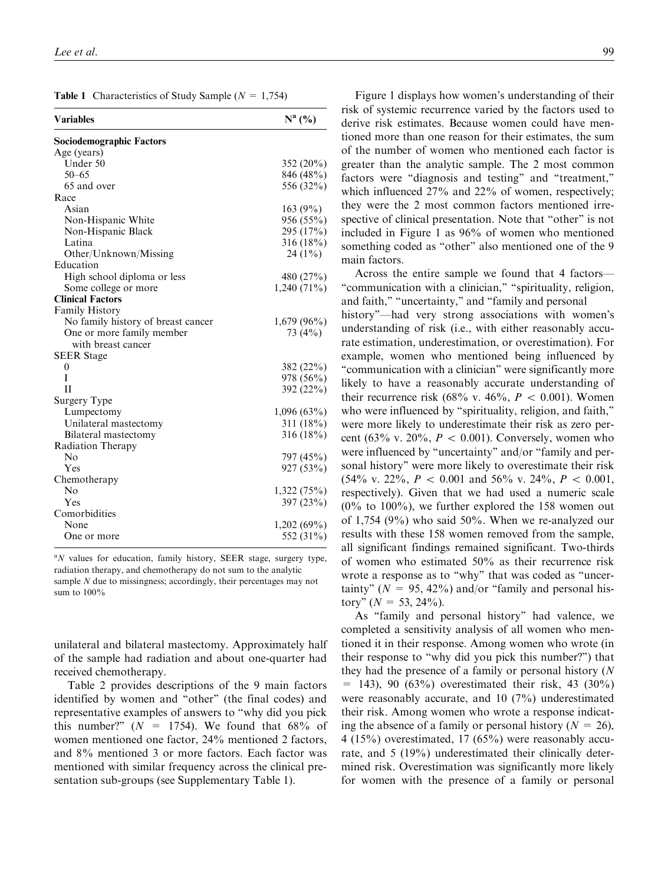| <b>Table 1</b> Characteristics of Study Sample ( $N = 1,754$ ) |
|----------------------------------------------------------------|
|                                                                |

| Variables                          | $N^a$ (%)     |
|------------------------------------|---------------|
| Sociodemographic Factors           |               |
| Age (years)                        |               |
| Under 50                           | $352(20\%)$   |
| $50 - 65$                          | 846 (48%)     |
| 65 and over                        | 556 (32%)     |
| Race                               |               |
| Asian                              | 163(9%)       |
| Non-Hispanic White                 | 956 (55%)     |
| Non-Hispanic Black                 | 295 (17%)     |
| Latina                             | $316(18\%)$   |
| Other/Unknown/Missing              | $24(1\%)$     |
| Education                          |               |
| High school diploma or less        | 480 (27%)     |
| Some college or more               | $1,240(71\%)$ |
| <b>Clinical Factors</b>            |               |
| <b>Family History</b>              |               |
| No family history of breast cancer | $1,679(96\%)$ |
| One or more family member          | 73 $(4\%)$    |
| with breast cancer                 |               |
| <b>SEER Stage</b>                  |               |
| $\mathbf{0}$                       | 382 (22%)     |
| I                                  | 978 (56%)     |
| $\mathbf{I}$                       | 392 (22%)     |
| Surgery Type                       |               |
| Lumpectomy                         | $1,096(63\%)$ |
| Unilateral mastectomy              | 311(18%)      |
| Bilateral mastectomy               | $316(18\%)$   |
| <b>Radiation Therapy</b>           |               |
| No                                 | 797 (45%)     |
| Yes                                | 927 (53%)     |
| Chemotherapy                       |               |
| No                                 | 1,322(75%)    |
| Yes                                | 397 (23%)     |
| Comorbidities                      |               |
| None                               | $1,202(69\%)$ |
| One or more                        | 552 (31%)     |

 ${}^{a}N$  values for education, family history, SEER stage, surgery type, radiation therapy, and chemotherapy do not sum to the analytic sample N due to missingness; accordingly, their percentages may not sum to 100%

unilateral and bilateral mastectomy. Approximately half of the sample had radiation and about one-quarter had received chemotherapy.

Table 2 provides descriptions of the 9 main factors identified by women and ''other'' (the final codes) and representative examples of answers to ''why did you pick this number?"  $(N = 1754)$ . We found that 68% of women mentioned one factor, 24% mentioned 2 factors, and 8% mentioned 3 or more factors. Each factor was mentioned with similar frequency across the clinical presentation sub-groups (see Supplementary Table 1).

Figure 1 displays how women's understanding of their risk of systemic recurrence varied by the factors used to derive risk estimates. Because women could have mentioned more than one reason for their estimates, the sum of the number of women who mentioned each factor is greater than the analytic sample. The 2 most common factors were "diagnosis and testing" and "treatment," which influenced  $27\%$  and  $22\%$  of women, respectively; they were the 2 most common factors mentioned irrespective of clinical presentation. Note that ''other'' is not included in Figure 1 as 96% of women who mentioned something coded as "other" also mentioned one of the 9 main factors.

Across the entire sample we found that 4 factors— "communication with a clinician," "spirituality, religion, and faith," "uncertainty," and "family and personal

history"—had very strong associations with women's understanding of risk (i.e., with either reasonably accurate estimation, underestimation, or overestimation). For example, women who mentioned being influenced by ''communication with a clinician'' were significantly more likely to have a reasonably accurate understanding of their recurrence risk (68% v. 46%,  $P < 0.001$ ). Women who were influenced by "spirituality, religion, and faith," were more likely to underestimate their risk as zero percent (63% v. 20%,  $P < 0.001$ ). Conversely, women who were influenced by "uncertainty" and/or "family and personal history'' were more likely to overestimate their risk  $(54\% \text{ v. } 22\%, P < 0.001 \text{ and } 56\% \text{ v. } 24\%, P < 0.001,$ respectively). Given that we had used a numeric scale  $(0\%$  to  $100\%)$ , we further explored the 158 women out of 1,754 (9%) who said 50%. When we re-analyzed our results with these 158 women removed from the sample, all significant findings remained significant. Two-thirds of women who estimated 50% as their recurrence risk wrote a response as to "why" that was coded as "uncertainty" ( $N = 95, 42\%$ ) and/or "family and personal history"  $(N = 53, 24\%)$ .

As ''family and personal history'' had valence, we completed a sensitivity analysis of all women who mentioned it in their response. Among women who wrote (in their response to ''why did you pick this number?'') that they had the presence of a family or personal history (N  $=$  143), 90 (63%) overestimated their risk, 43 (30%) were reasonably accurate, and 10 (7%) underestimated their risk. Among women who wrote a response indicating the absence of a family or personal history ( $N = 26$ ), 4 (15%) overestimated, 17 (65%) were reasonably accurate, and 5 (19%) underestimated their clinically determined risk. Overestimation was significantly more likely for women with the presence of a family or personal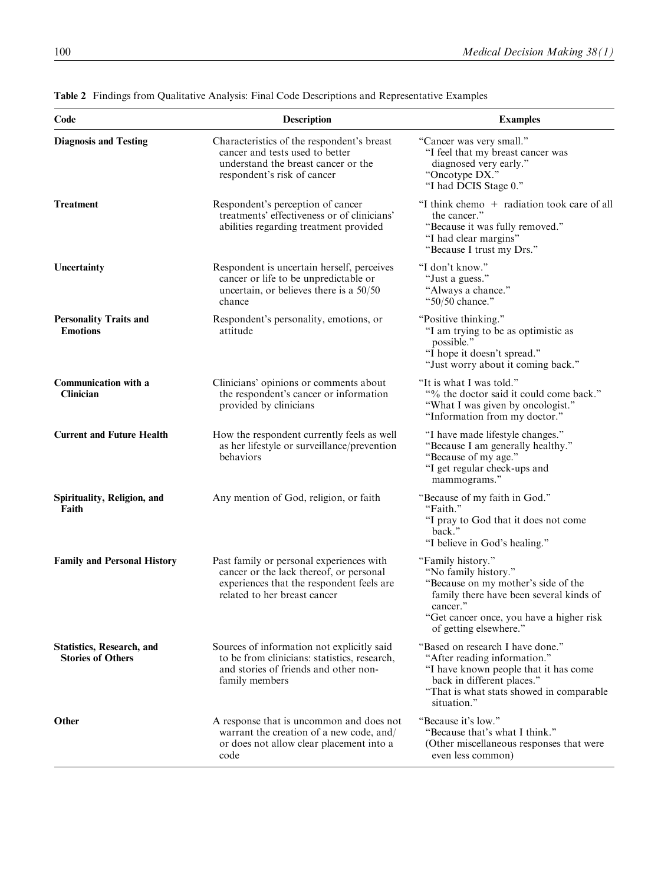| Code                                                         | Description                                                                                                                                                      | <b>Examples</b>                                                                                                                                                                                               |
|--------------------------------------------------------------|------------------------------------------------------------------------------------------------------------------------------------------------------------------|---------------------------------------------------------------------------------------------------------------------------------------------------------------------------------------------------------------|
| <b>Diagnosis and Testing</b>                                 | Characteristics of the respondent's breast<br>cancer and tests used to better<br>understand the breast cancer or the<br>respondent's risk of cancer              | "Cancer was very small."<br>"I feel that my breast cancer was<br>diagnosed very early."<br>"Oncotype DX."<br>"I had DCIS Stage 0."                                                                            |
| <b>Treatment</b>                                             | Respondent's perception of cancer<br>treatments' effectiveness or of clinicians'<br>abilities regarding treatment provided                                       | "I think chemo + radiation took care of all<br>the cancer."<br>"Because it was fully removed."<br>"I had clear margins"<br>"Because I trust my Drs."                                                          |
| Uncertainty                                                  | Respondent is uncertain herself, perceives<br>cancer or life to be unpredictable or<br>uncertain, or believes there is a $50/50$<br>chance                       | "I don't know."<br>"Just a guess."<br>"Always a chance."<br>"50/50 chance."                                                                                                                                   |
| <b>Personality Traits and</b><br><b>Emotions</b>             | Respondent's personality, emotions, or<br>attitude                                                                                                               | "Positive thinking."<br>"I am trying to be as optimistic as<br>possible."<br>"I hope it doesn't spread."<br>"Just worry about it coming back."                                                                |
| Communication with a<br><b>Clinician</b>                     | Clinicians' opinions or comments about<br>the respondent's cancer or information<br>provided by clinicians                                                       | "It is what I was told."<br>"% the doctor said it could come back."<br>"What I was given by oncologist."<br>"Information from my doctor."                                                                     |
| <b>Current and Future Health</b>                             | How the respondent currently feels as well<br>as her lifestyle or surveillance/prevention<br>behaviors                                                           | "I have made lifestyle changes."<br>"Because I am generally healthy."<br>"Because of my age."<br>"I get regular check-ups and<br>mammograms."                                                                 |
| Spirituality, Religion, and<br>Faith                         | Any mention of God, religion, or faith                                                                                                                           | "Because of my faith in God."<br>"Faith."<br>"I pray to God that it does not come<br>back."<br>"I believe in God's healing."                                                                                  |
| <b>Family and Personal History</b>                           | Past family or personal experiences with<br>cancer or the lack thereof, or personal<br>experiences that the respondent feels are<br>related to her breast cancer | "Family history."<br>"No family history."<br>"Because on my mother's side of the<br>family there have been several kinds of<br>cancer."<br>"Get cancer once, you have a higher risk<br>of getting elsewhere." |
| <b>Statistics, Research, and</b><br><b>Stories of Others</b> | Sources of information not explicitly said<br>to be from clinicians: statistics, research,<br>and stories of friends and other non-<br>family members            | "Based on research I have done."<br>"After reading information."<br>"I have known people that it has come<br>back in different places."<br>"That is what stats showed in comparable<br>situation."            |
| Other                                                        | A response that is uncommon and does not<br>warrant the creation of a new code, and/<br>or does not allow clear placement into a<br>code                         | "Because it's low."<br>"Because that's what I think."<br>(Other miscellaneous responses that were<br>even less common)                                                                                        |

Table 2 Findings from Qualitative Analysis: Final Code Descriptions and Representative Examples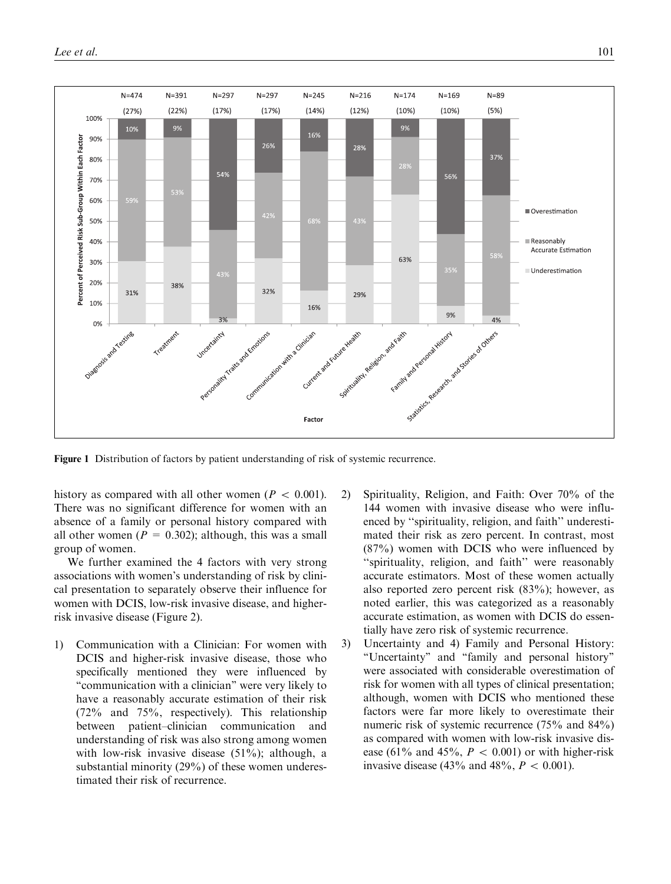

Figure 1 Distribution of factors by patient understanding of risk of systemic recurrence.

history as compared with all other women ( $P \, < \, 0.001$ ). There was no significant difference for women with an absence of a family or personal history compared with all other women ( $P = 0.302$ ); although, this was a small group of women.

We further examined the 4 factors with very strong associations with women's understanding of risk by clinical presentation to separately observe their influence for women with DCIS, low-risk invasive disease, and higherrisk invasive disease (Figure 2).

- 1) Communication with a Clinician: For women with DCIS and higher-risk invasive disease, those who specifically mentioned they were influenced by "communication with a clinician" were very likely to have a reasonably accurate estimation of their risk (72% and 75%, respectively). This relationship between patient–clinician communication and understanding of risk was also strong among women with low-risk invasive disease (51%); although, a substantial minority (29%) of these women underestimated their risk of recurrence.
- 2) Spirituality, Religion, and Faith: Over 70% of the 144 women with invasive disease who were influenced by ''spirituality, religion, and faith'' underestimated their risk as zero percent. In contrast, most (87%) women with DCIS who were influenced by ''spirituality, religion, and faith'' were reasonably accurate estimators. Most of these women actually also reported zero percent risk (83%); however, as noted earlier, this was categorized as a reasonably accurate estimation, as women with DCIS do essentially have zero risk of systemic recurrence.
- 3) Uncertainty and 4) Family and Personal History: ''Uncertainty'' and ''family and personal history'' were associated with considerable overestimation of risk for women with all types of clinical presentation; although, women with DCIS who mentioned these factors were far more likely to overestimate their numeric risk of systemic recurrence (75% and 84%) as compared with women with low-risk invasive disease (61% and 45%,  $P < 0.001$ ) or with higher-risk invasive disease (43% and 48%,  $P < 0.001$ ).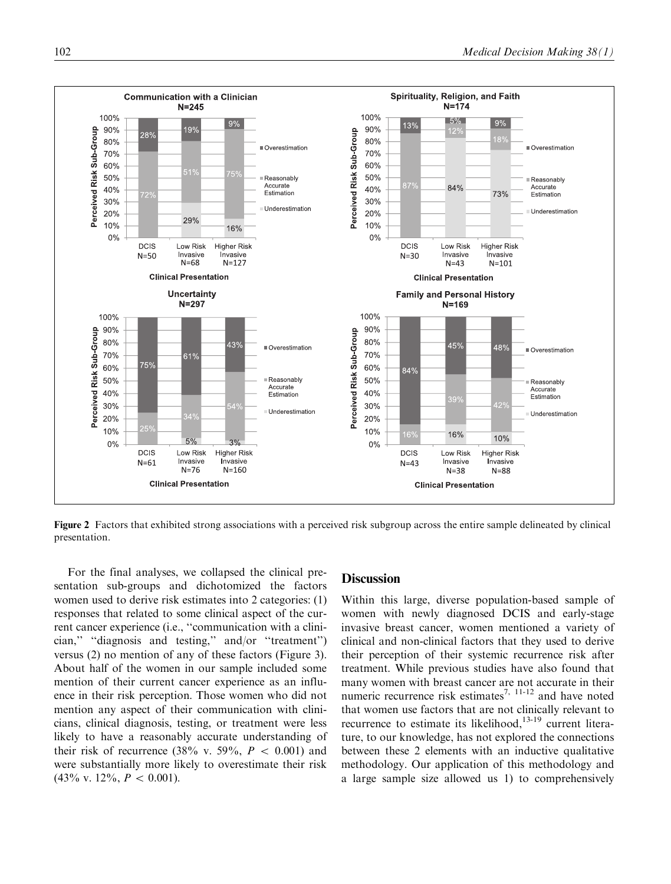

Figure 2 Factors that exhibited strong associations with a perceived risk subgroup across the entire sample delineated by clinical presentation.

For the final analyses, we collapsed the clinical presentation sub-groups and dichotomized the factors women used to derive risk estimates into 2 categories: (1) responses that related to some clinical aspect of the current cancer experience (i.e., ''communication with a clinician,'' ''diagnosis and testing,'' and/or ''treatment'') versus (2) no mention of any of these factors (Figure 3). About half of the women in our sample included some mention of their current cancer experience as an influence in their risk perception. Those women who did not mention any aspect of their communication with clinicians, clinical diagnosis, testing, or treatment were less likely to have a reasonably accurate understanding of their risk of recurrence (38% v. 59%,  $P < 0.001$ ) and were substantially more likely to overestimate their risk  $(43\% \text{ v. } 12\%, P < 0.001).$ 

# **Discussion**

Within this large, diverse population-based sample of women with newly diagnosed DCIS and early-stage invasive breast cancer, women mentioned a variety of clinical and non-clinical factors that they used to derive their perception of their systemic recurrence risk after treatment. While previous studies have also found that many women with breast cancer are not accurate in their numeric recurrence risk estimates<sup>7, 11-12</sup> and have noted that women use factors that are not clinically relevant to recurrence to estimate its likelihood, $13-19$  current literature, to our knowledge, has not explored the connections between these 2 elements with an inductive qualitative methodology. Our application of this methodology and a large sample size allowed us 1) to comprehensively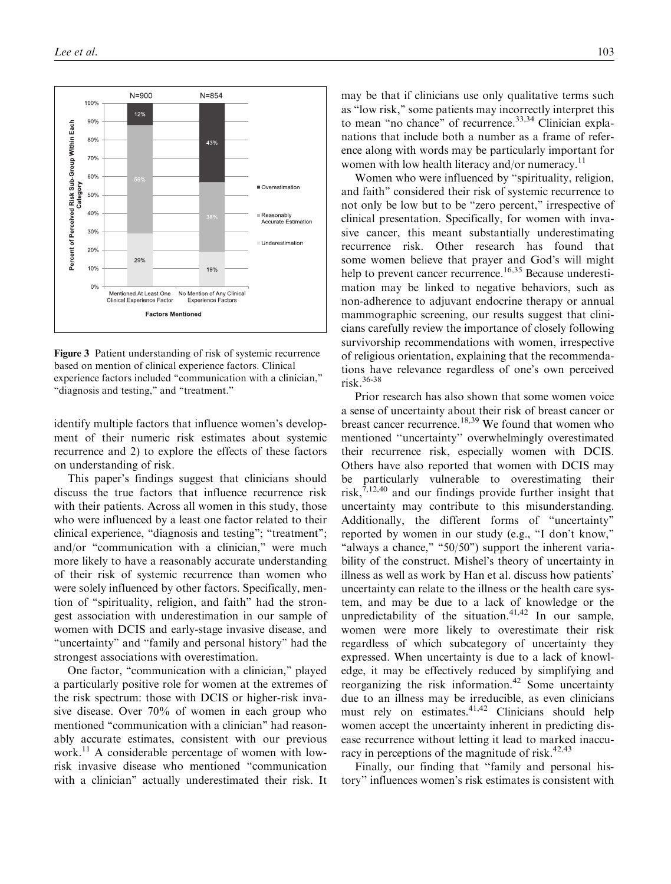

Figure 3 Patient understanding of risk of systemic recurrence based on mention of clinical experience factors. Clinical experience factors included ''communication with a clinician,'' ''diagnosis and testing,'' and ''treatment.''

identify multiple factors that influence women's development of their numeric risk estimates about systemic recurrence and 2) to explore the effects of these factors on understanding of risk.

This paper's findings suggest that clinicians should discuss the true factors that influence recurrence risk with their patients. Across all women in this study, those who were influenced by a least one factor related to their clinical experience, "diagnosis and testing"; "treatment"; and/or "communication with a clinician," were much more likely to have a reasonably accurate understanding of their risk of systemic recurrence than women who were solely influenced by other factors. Specifically, mention of ''spirituality, religion, and faith'' had the strongest association with underestimation in our sample of women with DCIS and early-stage invasive disease, and ''uncertainty'' and ''family and personal history'' had the strongest associations with overestimation.

One factor, "communication with a clinician," played a particularly positive role for women at the extremes of the risk spectrum: those with DCIS or higher-risk invasive disease. Over 70% of women in each group who mentioned "communication with a clinician" had reasonably accurate estimates, consistent with our previous work.<sup>11</sup> A considerable percentage of women with lowrisk invasive disease who mentioned ''communication with a clinician'' actually underestimated their risk. It

may be that if clinicians use only qualitative terms such as ''low risk,'' some patients may incorrectly interpret this to mean "no chance" of recurrence.<sup>33,34</sup> Clinician explanations that include both a number as a frame of reference along with words may be particularly important for women with low health literacy and/or numeracy.<sup>11</sup>

Women who were influenced by ''spirituality, religion, and faith'' considered their risk of systemic recurrence to not only be low but to be ''zero percent,'' irrespective of clinical presentation. Specifically, for women with invasive cancer, this meant substantially underestimating recurrence risk. Other research has found that some women believe that prayer and God's will might help to prevent cancer recurrence.<sup>16,35</sup> Because underestimation may be linked to negative behaviors, such as non-adherence to adjuvant endocrine therapy or annual mammographic screening, our results suggest that clinicians carefully review the importance of closely following survivorship recommendations with women, irrespective of religious orientation, explaining that the recommendations have relevance regardless of one's own perceived risk.36-38

Prior research has also shown that some women voice a sense of uncertainty about their risk of breast cancer or breast cancer recurrence.<sup>18,39</sup> We found that women who mentioned ''uncertainty'' overwhelmingly overestimated their recurrence risk, especially women with DCIS. Others have also reported that women with DCIS may be particularly vulnerable to overestimating their risk, $7,12,40$  and our findings provide further insight that uncertainty may contribute to this misunderstanding. Additionally, the different forms of ''uncertainty'' reported by women in our study (e.g., "I don't know," "always a chance," " $50/50$ ") support the inherent variability of the construct. Mishel's theory of uncertainty in illness as well as work by Han et al. discuss how patients' uncertainty can relate to the illness or the health care system, and may be due to a lack of knowledge or the unpredictability of the situation.<sup>41,42</sup> In our sample, women were more likely to overestimate their risk regardless of which subcategory of uncertainty they expressed. When uncertainty is due to a lack of knowledge, it may be effectively reduced by simplifying and reorganizing the risk information.<sup>42</sup> Some uncertainty due to an illness may be irreducible, as even clinicians must rely on estimates. $41,42$  Clinicians should help women accept the uncertainty inherent in predicting disease recurrence without letting it lead to marked inaccuracy in perceptions of the magnitude of risk. $42,43$ 

Finally, our finding that ''family and personal history'' influences women's risk estimates is consistent with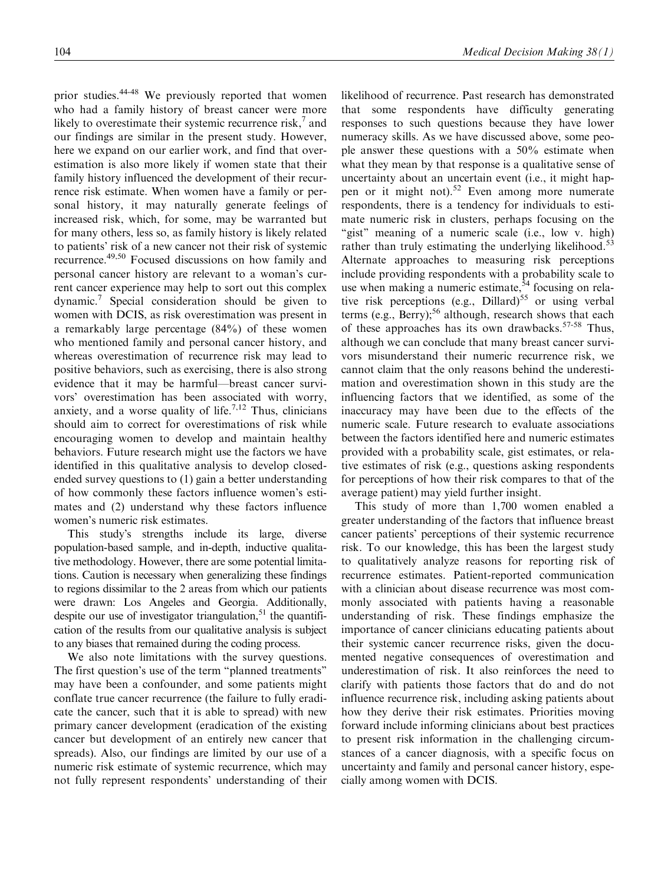prior studies.44-48 We previously reported that women who had a family history of breast cancer were more likely to overestimate their systemic recurrence risk, $^7$  and our findings are similar in the present study. However, here we expand on our earlier work, and find that overestimation is also more likely if women state that their family history influenced the development of their recurrence risk estimate. When women have a family or personal history, it may naturally generate feelings of increased risk, which, for some, may be warranted but for many others, less so, as family history is likely related to patients' risk of a new cancer not their risk of systemic recurrence.49,50 Focused discussions on how family and personal cancer history are relevant to a woman's current cancer experience may help to sort out this complex dynamic.7 Special consideration should be given to women with DCIS, as risk overestimation was present in a remarkably large percentage (84%) of these women who mentioned family and personal cancer history, and whereas overestimation of recurrence risk may lead to positive behaviors, such as exercising, there is also strong evidence that it may be harmful—breast cancer survivors' overestimation has been associated with worry, anxiety, and a worse quality of life.<sup>7,12</sup> Thus, clinicians should aim to correct for overestimations of risk while encouraging women to develop and maintain healthy behaviors. Future research might use the factors we have identified in this qualitative analysis to develop closedended survey questions to (1) gain a better understanding of how commonly these factors influence women's estimates and (2) understand why these factors influence women's numeric risk estimates.

This study's strengths include its large, diverse population-based sample, and in-depth, inductive qualitative methodology. However, there are some potential limitations. Caution is necessary when generalizing these findings to regions dissimilar to the 2 areas from which our patients were drawn: Los Angeles and Georgia. Additionally, despite our use of investigator triangulation,  $51$  the quantification of the results from our qualitative analysis is subject to any biases that remained during the coding process.

We also note limitations with the survey questions. The first question's use of the term ''planned treatments'' may have been a confounder, and some patients might conflate true cancer recurrence (the failure to fully eradicate the cancer, such that it is able to spread) with new primary cancer development (eradication of the existing cancer but development of an entirely new cancer that spreads). Also, our findings are limited by our use of a numeric risk estimate of systemic recurrence, which may not fully represent respondents' understanding of their likelihood of recurrence. Past research has demonstrated that some respondents have difficulty generating responses to such questions because they have lower numeracy skills. As we have discussed above, some people answer these questions with a 50% estimate when what they mean by that response is a qualitative sense of uncertainty about an uncertain event (i.e., it might happen or it might not).<sup>52</sup> Even among more numerate respondents, there is a tendency for individuals to estimate numeric risk in clusters, perhaps focusing on the "gist" meaning of a numeric scale (i.e., low v. high) rather than truly estimating the underlying likelihood.<sup>53</sup> Alternate approaches to measuring risk perceptions include providing respondents with a probability scale to use when making a numeric estimate,<sup>54</sup> focusing on relative risk perceptions (e.g., Dillard)<sup>55</sup> or using verbal terms (e.g., Berry);<sup>56</sup> although, research shows that each of these approaches has its own drawbacks.<sup>57-58</sup> Thus, although we can conclude that many breast cancer survivors misunderstand their numeric recurrence risk, we cannot claim that the only reasons behind the underestimation and overestimation shown in this study are the influencing factors that we identified, as some of the inaccuracy may have been due to the effects of the numeric scale. Future research to evaluate associations between the factors identified here and numeric estimates provided with a probability scale, gist estimates, or relative estimates of risk (e.g., questions asking respondents for perceptions of how their risk compares to that of the average patient) may yield further insight.

This study of more than 1,700 women enabled a greater understanding of the factors that influence breast cancer patients' perceptions of their systemic recurrence risk. To our knowledge, this has been the largest study to qualitatively analyze reasons for reporting risk of recurrence estimates. Patient-reported communication with a clinician about disease recurrence was most commonly associated with patients having a reasonable understanding of risk. These findings emphasize the importance of cancer clinicians educating patients about their systemic cancer recurrence risks, given the documented negative consequences of overestimation and underestimation of risk. It also reinforces the need to clarify with patients those factors that do and do not influence recurrence risk, including asking patients about how they derive their risk estimates. Priorities moving forward include informing clinicians about best practices to present risk information in the challenging circumstances of a cancer diagnosis, with a specific focus on uncertainty and family and personal cancer history, especially among women with DCIS.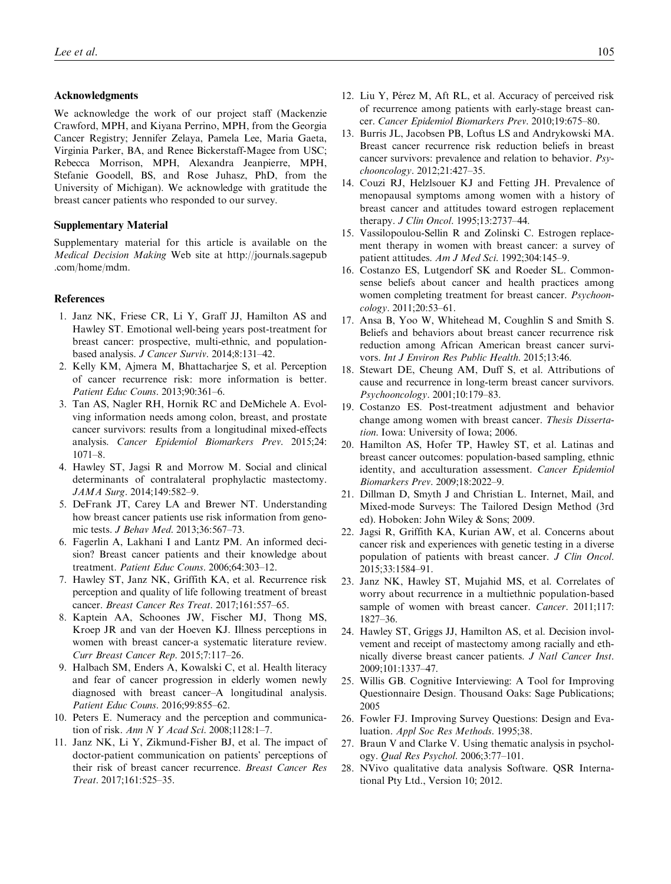#### Acknowledgments

We acknowledge the work of our project staff (Mackenzie Crawford, MPH, and Kiyana Perrino, MPH, from the Georgia Cancer Registry; Jennifer Zelaya, Pamela Lee, Maria Gaeta, Virginia Parker, BA, and Renee Bickerstaff-Magee from USC; Rebecca Morrison, MPH, Alexandra Jeanpierre, MPH, Stefanie Goodell, BS, and Rose Juhasz, PhD, from the University of Michigan). We acknowledge with gratitude the breast cancer patients who responded to our survey.

#### Supplementary Material

Supplementary material for this article is available on the Medical Decision Making Web site at http://journals.sagepub .com/home/mdm.

#### References

- 1. Janz NK, Friese CR, Li Y, Graff JJ, Hamilton AS and Hawley ST. Emotional well-being years post-treatment for breast cancer: prospective, multi-ethnic, and populationbased analysis. J Cancer Surviv. 2014;8:131–42.
- 2. Kelly KM, Ajmera M, Bhattacharjee S, et al. Perception of cancer recurrence risk: more information is better. Patient Educ Couns. 2013;90:361–6.
- 3. Tan AS, Nagler RH, Hornik RC and DeMichele A. Evolving information needs among colon, breast, and prostate cancer survivors: results from a longitudinal mixed-effects analysis. Cancer Epidemiol Biomarkers Prev. 2015;24: 1071–8.
- 4. Hawley ST, Jagsi R and Morrow M. Social and clinical determinants of contralateral prophylactic mastectomy. JAMA Surg. 2014;149:582–9.
- 5. DeFrank JT, Carey LA and Brewer NT. Understanding how breast cancer patients use risk information from genomic tests. J Behav Med. 2013;36:567–73.
- 6. Fagerlin A, Lakhani I and Lantz PM. An informed decision? Breast cancer patients and their knowledge about treatment. Patient Educ Couns. 2006;64:303–12.
- 7. Hawley ST, Janz NK, Griffith KA, et al. Recurrence risk perception and quality of life following treatment of breast cancer. Breast Cancer Res Treat. 2017;161:557–65.
- 8. Kaptein AA, Schoones JW, Fischer MJ, Thong MS, Kroep JR and van der Hoeven KJ. Illness perceptions in women with breast cancer-a systematic literature review. Curr Breast Cancer Rep. 2015;7:117–26.
- 9. Halbach SM, Enders A, Kowalski C, et al. Health literacy and fear of cancer progression in elderly women newly diagnosed with breast cancer–A longitudinal analysis. Patient Educ Couns. 2016;99:855–62.
- 10. Peters E. Numeracy and the perception and communication of risk. Ann N Y Acad Sci. 2008;1128:1–7.
- 11. Janz NK, Li Y, Zikmund-Fisher BJ, et al. The impact of doctor-patient communication on patients' perceptions of their risk of breast cancer recurrence. Breast Cancer Res Treat. 2017;161:525–35.
- 12. Liu Y, Pérez M, Aft RL, et al. Accuracy of perceived risk of recurrence among patients with early-stage breast cancer. Cancer Epidemiol Biomarkers Prev. 2010;19:675–80.
- 13. Burris JL, Jacobsen PB, Loftus LS and Andrykowski MA. Breast cancer recurrence risk reduction beliefs in breast cancer survivors: prevalence and relation to behavior. Psychooncology. 2012;21:427–35.
- 14. Couzi RJ, Helzlsouer KJ and Fetting JH. Prevalence of menopausal symptoms among women with a history of breast cancer and attitudes toward estrogen replacement therapy. J Clin Oncol. 1995;13:2737–44.
- 15. Vassilopoulou-Sellin R and Zolinski C. Estrogen replacement therapy in women with breast cancer: a survey of patient attitudes. Am J Med Sci. 1992;304:145-9.
- 16. Costanzo ES, Lutgendorf SK and Roeder SL. Commonsense beliefs about cancer and health practices among women completing treatment for breast cancer. Psychooncology. 2011;20:53–61.
- 17. Ansa B, Yoo W, Whitehead M, Coughlin S and Smith S. Beliefs and behaviors about breast cancer recurrence risk reduction among African American breast cancer survivors. Int J Environ Res Public Health. 2015;13:46.
- 18. Stewart DE, Cheung AM, Duff S, et al. Attributions of cause and recurrence in long-term breast cancer survivors. Psychooncology. 2001;10:179–83.
- 19. Costanzo ES. Post-treatment adjustment and behavior change among women with breast cancer. Thesis Dissertation. Iowa: University of Iowa; 2006.
- 20. Hamilton AS, Hofer TP, Hawley ST, et al. Latinas and breast cancer outcomes: population-based sampling, ethnic identity, and acculturation assessment. Cancer Epidemiol Biomarkers Prev. 2009;18:2022–9.
- 21. Dillman D, Smyth J and Christian L. Internet, Mail, and Mixed-mode Surveys: The Tailored Design Method (3rd ed). Hoboken: John Wiley & Sons; 2009.
- 22. Jagsi R, Griffith KA, Kurian AW, et al. Concerns about cancer risk and experiences with genetic testing in a diverse population of patients with breast cancer. J Clin Oncol. 2015;33:1584–91.
- 23. Janz NK, Hawley ST, Mujahid MS, et al. Correlates of worry about recurrence in a multiethnic population-based sample of women with breast cancer. Cancer. 2011;117: 1827–36.
- 24. Hawley ST, Griggs JJ, Hamilton AS, et al. Decision involvement and receipt of mastectomy among racially and ethnically diverse breast cancer patients. J Natl Cancer Inst. 2009;101:1337–47.
- 25. Willis GB. Cognitive Interviewing: A Tool for Improving Questionnaire Design. Thousand Oaks: Sage Publications; 2005
- 26. Fowler FJ. Improving Survey Questions: Design and Evaluation. Appl Soc Res Methods. 1995;38.
- 27. Braun V and Clarke V. Using thematic analysis in psychology. Qual Res Psychol. 2006;3:77–101.
- 28. NVivo qualitative data analysis Software. QSR International Pty Ltd., Version 10; 2012.